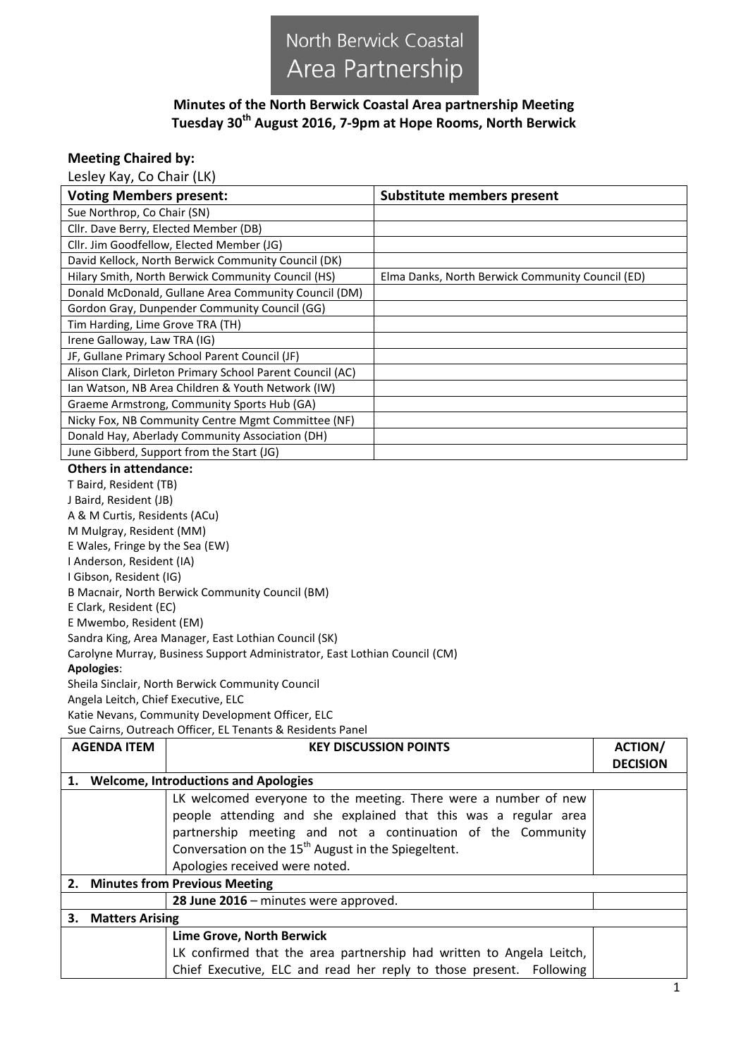## North Berwick Coastal Area Partnership

## **Minutes of the North Berwick Coastal Area partnership Meeting Tuesday 30th August 2016, 7-9pm at Hope Rooms, North Berwick**

## **Meeting Chaired by:**

Lesley Kay, Co Chair (LK)

| <b>Voting Members present:</b>                            | <b>Substitute members present</b>                |  |
|-----------------------------------------------------------|--------------------------------------------------|--|
| Sue Northrop, Co Chair (SN)                               |                                                  |  |
| Cllr. Dave Berry, Elected Member (DB)                     |                                                  |  |
| Cllr. Jim Goodfellow, Elected Member (JG)                 |                                                  |  |
| David Kellock, North Berwick Community Council (DK)       |                                                  |  |
| Hilary Smith, North Berwick Community Council (HS)        | Elma Danks, North Berwick Community Council (ED) |  |
| Donald McDonald, Gullane Area Community Council (DM)      |                                                  |  |
| Gordon Gray, Dunpender Community Council (GG)             |                                                  |  |
| Tim Harding, Lime Grove TRA (TH)                          |                                                  |  |
| Irene Galloway, Law TRA (IG)                              |                                                  |  |
| JF, Gullane Primary School Parent Council (JF)            |                                                  |  |
| Alison Clark, Dirleton Primary School Parent Council (AC) |                                                  |  |
| Ian Watson, NB Area Children & Youth Network (IW)         |                                                  |  |
| Graeme Armstrong, Community Sports Hub (GA)               |                                                  |  |
| Nicky Fox, NB Community Centre Mgmt Committee (NF)        |                                                  |  |
| Donald Hay, Aberlady Community Association (DH)           |                                                  |  |
| June Gibberd, Support from the Start (JG)                 |                                                  |  |
| <b>Others in attendance:</b>                              |                                                  |  |

## T Baird, Resident (TB)

| J Baird, Resident (JB)                                                     |
|----------------------------------------------------------------------------|
| A & M Curtis, Residents (ACu)                                              |
| M Mulgray, Resident (MM)                                                   |
| E Wales, Fringe by the Sea (EW)                                            |
| I Anderson, Resident (IA)                                                  |
| I Gibson, Resident (IG)                                                    |
| B Macnair, North Berwick Community Council (BM)                            |
| E Clark, Resident (EC)                                                     |
| E Mwembo, Resident (EM)                                                    |
| Sandra King, Area Manager, East Lothian Council (SK)                       |
| Carolyne Murray, Business Support Administrator, East Lothian Council (CM) |
| Apologies:                                                                 |
| Sheila Sinclair, North Berwick Community Council                           |
| Angela Leitch. Chief Executive. ELC                                        |

Angela Leitch, Chief Executive, ELC

Katie Nevans, Community Development Officer, ELC

Sue Cairns, Outreach Officer, EL Tenants & Residents Panel

|                                         | <b>AGENDA ITEM</b>           | <b>KEY DISCUSSION POINTS</b>                                         | <b>ACTION/</b>  |
|-----------------------------------------|------------------------------|----------------------------------------------------------------------|-----------------|
|                                         |                              |                                                                      | <b>DECISION</b> |
| 1. Welcome, Introductions and Apologies |                              |                                                                      |                 |
|                                         |                              | LK welcomed everyone to the meeting. There were a number of new      |                 |
|                                         |                              | people attending and she explained that this was a regular area      |                 |
|                                         |                              | partnership meeting and not a continuation of the Community          |                 |
|                                         |                              | Conversation on the 15 <sup>th</sup> August in the Spiegeltent.      |                 |
|                                         |                              | Apologies received were noted.                                       |                 |
| 2. Minutes from Previous Meeting        |                              |                                                                      |                 |
|                                         |                              | 28 June 2016 - minutes were approved.                                |                 |
|                                         | 3.<br><b>Matters Arising</b> |                                                                      |                 |
|                                         |                              | Lime Grove, North Berwick                                            |                 |
|                                         |                              | LK confirmed that the area partnership had written to Angela Leitch, |                 |
|                                         |                              | Chief Executive, ELC and read her reply to those present. Following  |                 |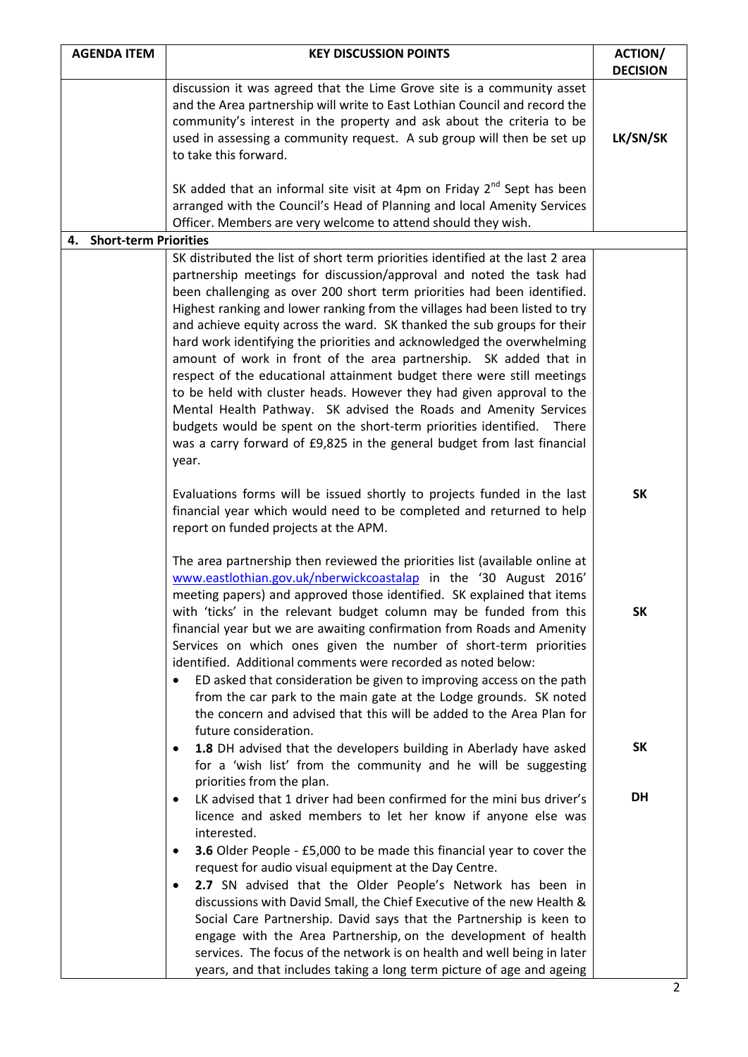| <b>AGENDA ITEM</b>       | <b>KEY DISCUSSION POINTS</b>                                                                                                                                                                                                                                                                                                                                                                                                                                                                                                                                                                                                                                                                                                                                                                                                                                                                                                 | <b>ACTION/</b>              |
|--------------------------|------------------------------------------------------------------------------------------------------------------------------------------------------------------------------------------------------------------------------------------------------------------------------------------------------------------------------------------------------------------------------------------------------------------------------------------------------------------------------------------------------------------------------------------------------------------------------------------------------------------------------------------------------------------------------------------------------------------------------------------------------------------------------------------------------------------------------------------------------------------------------------------------------------------------------|-----------------------------|
|                          | discussion it was agreed that the Lime Grove site is a community asset<br>and the Area partnership will write to East Lothian Council and record the<br>community's interest in the property and ask about the criteria to be<br>used in assessing a community request. A sub group will then be set up<br>to take this forward.                                                                                                                                                                                                                                                                                                                                                                                                                                                                                                                                                                                             | <b>DECISION</b><br>LK/SN/SK |
|                          | SK added that an informal site visit at 4pm on Friday $2^{nd}$ Sept has been<br>arranged with the Council's Head of Planning and local Amenity Services<br>Officer. Members are very welcome to attend should they wish.                                                                                                                                                                                                                                                                                                                                                                                                                                                                                                                                                                                                                                                                                                     |                             |
| 4. Short-term Priorities |                                                                                                                                                                                                                                                                                                                                                                                                                                                                                                                                                                                                                                                                                                                                                                                                                                                                                                                              |                             |
|                          | SK distributed the list of short term priorities identified at the last 2 area<br>partnership meetings for discussion/approval and noted the task had<br>been challenging as over 200 short term priorities had been identified.<br>Highest ranking and lower ranking from the villages had been listed to try<br>and achieve equity across the ward. SK thanked the sub groups for their<br>hard work identifying the priorities and acknowledged the overwhelming<br>amount of work in front of the area partnership. SK added that in<br>respect of the educational attainment budget there were still meetings<br>to be held with cluster heads. However they had given approval to the<br>Mental Health Pathway. SK advised the Roads and Amenity Services<br>budgets would be spent on the short-term priorities identified. There<br>was a carry forward of £9,825 in the general budget from last financial<br>year. |                             |
|                          | Evaluations forms will be issued shortly to projects funded in the last<br>financial year which would need to be completed and returned to help<br>report on funded projects at the APM.                                                                                                                                                                                                                                                                                                                                                                                                                                                                                                                                                                                                                                                                                                                                     | <b>SK</b>                   |
|                          | The area partnership then reviewed the priorities list (available online at<br>www.eastlothian.gov.uk/nberwickcoastalap in the '30 August 2016'<br>meeting papers) and approved those identified. SK explained that items<br>with 'ticks' in the relevant budget column may be funded from this<br>financial year but we are awaiting confirmation from Roads and Amenity<br>Services on which ones given the number of short-term priorities<br>identified. Additional comments were recorded as noted below:<br>ED asked that consideration be given to improving access on the path<br>from the car park to the main gate at the Lodge grounds. SK noted<br>the concern and advised that this will be added to the Area Plan for                                                                                                                                                                                          | <b>SK</b>                   |
|                          | future consideration.<br>1.8 DH advised that the developers building in Aberlady have asked<br>٠<br>for a 'wish list' from the community and he will be suggesting<br>priorities from the plan.                                                                                                                                                                                                                                                                                                                                                                                                                                                                                                                                                                                                                                                                                                                              | <b>SK</b>                   |
|                          | LK advised that 1 driver had been confirmed for the mini bus driver's<br>licence and asked members to let her know if anyone else was<br>interested.<br>3.6 Older People - £5,000 to be made this financial year to cover the<br>$\bullet$<br>request for audio visual equipment at the Day Centre.<br>2.7 SN advised that the Older People's Network has been in<br>$\bullet$<br>discussions with David Small, the Chief Executive of the new Health &<br>Social Care Partnership. David says that the Partnership is keen to<br>engage with the Area Partnership, on the development of health<br>services. The focus of the network is on health and well being in later<br>years, and that includes taking a long term picture of age and ageing                                                                                                                                                                         | DH                          |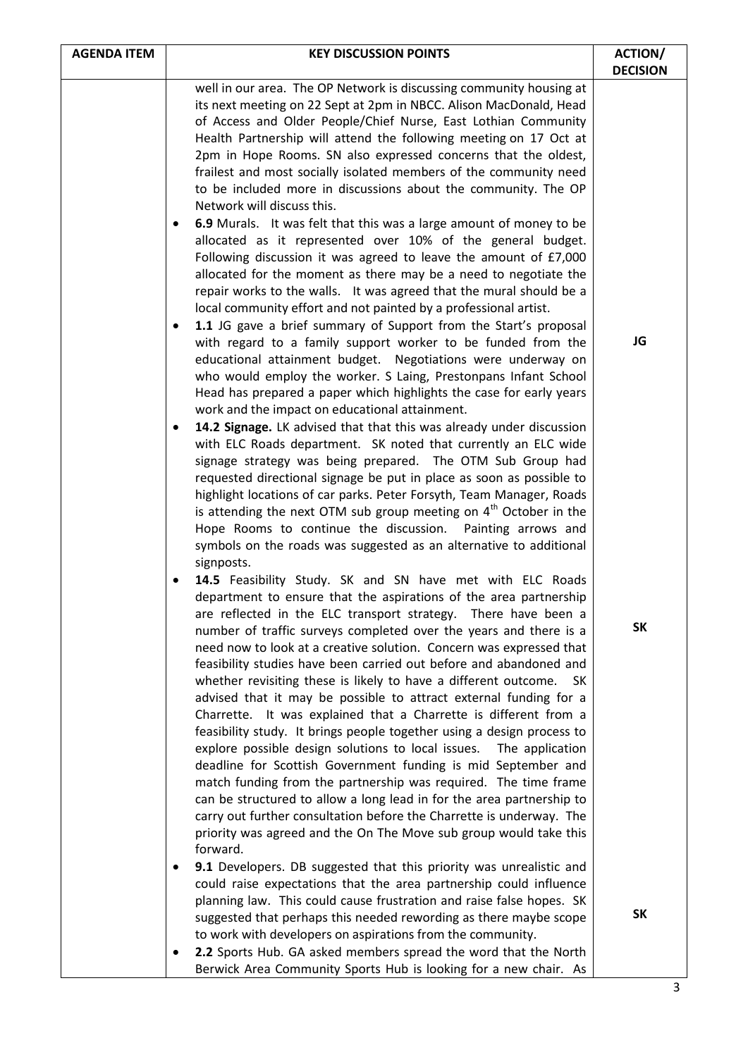| <b>AGENDA ITEM</b> | <b>KEY DISCUSSION POINTS</b>                                                                                                                                                                                                                                                                                                                                                                                                                                                                                                                                                                                                                                                                                                                                                                                                                                                                                                                                                                                                                                                                                                                                              | <b>ACTION/</b><br><b>DECISION</b> |
|--------------------|---------------------------------------------------------------------------------------------------------------------------------------------------------------------------------------------------------------------------------------------------------------------------------------------------------------------------------------------------------------------------------------------------------------------------------------------------------------------------------------------------------------------------------------------------------------------------------------------------------------------------------------------------------------------------------------------------------------------------------------------------------------------------------------------------------------------------------------------------------------------------------------------------------------------------------------------------------------------------------------------------------------------------------------------------------------------------------------------------------------------------------------------------------------------------|-----------------------------------|
|                    | well in our area. The OP Network is discussing community housing at<br>its next meeting on 22 Sept at 2pm in NBCC. Alison MacDonald, Head<br>of Access and Older People/Chief Nurse, East Lothian Community<br>Health Partnership will attend the following meeting on 17 Oct at<br>2pm in Hope Rooms. SN also expressed concerns that the oldest,<br>frailest and most socially isolated members of the community need<br>to be included more in discussions about the community. The OP<br>Network will discuss this.                                                                                                                                                                                                                                                                                                                                                                                                                                                                                                                                                                                                                                                   |                                   |
|                    | 6.9 Murals. It was felt that this was a large amount of money to be<br>$\bullet$<br>allocated as it represented over 10% of the general budget.<br>Following discussion it was agreed to leave the amount of £7,000<br>allocated for the moment as there may be a need to negotiate the<br>repair works to the walls. It was agreed that the mural should be a<br>local community effort and not painted by a professional artist.<br>1.1 JG gave a brief summary of Support from the Start's proposal<br>$\bullet$                                                                                                                                                                                                                                                                                                                                                                                                                                                                                                                                                                                                                                                       |                                   |
|                    | with regard to a family support worker to be funded from the<br>educational attainment budget. Negotiations were underway on<br>who would employ the worker. S Laing, Prestonpans Infant School<br>Head has prepared a paper which highlights the case for early years<br>work and the impact on educational attainment.                                                                                                                                                                                                                                                                                                                                                                                                                                                                                                                                                                                                                                                                                                                                                                                                                                                  | JG                                |
|                    | 14.2 Signage. LK advised that that this was already under discussion<br>$\bullet$<br>with ELC Roads department. SK noted that currently an ELC wide<br>signage strategy was being prepared. The OTM Sub Group had<br>requested directional signage be put in place as soon as possible to<br>highlight locations of car parks. Peter Forsyth, Team Manager, Roads<br>is attending the next OTM sub group meeting on $4th$ October in the<br>Hope Rooms to continue the discussion. Painting arrows and<br>symbols on the roads was suggested as an alternative to additional<br>signposts.                                                                                                                                                                                                                                                                                                                                                                                                                                                                                                                                                                                |                                   |
|                    | 14.5 Feasibility Study. SK and SN have met with ELC Roads<br>$\bullet$<br>department to ensure that the aspirations of the area partnership<br>are reflected in the ELC transport strategy. There have been a<br>number of traffic surveys completed over the years and there is a<br>need now to look at a creative solution. Concern was expressed that<br>feasibility studies have been carried out before and abandoned and<br>whether revisiting these is likely to have a different outcome.<br>- SK<br>advised that it may be possible to attract external funding for a<br>Charrette. It was explained that a Charrette is different from a<br>feasibility study. It brings people together using a design process to<br>explore possible design solutions to local issues. The application<br>deadline for Scottish Government funding is mid September and<br>match funding from the partnership was required. The time frame<br>can be structured to allow a long lead in for the area partnership to<br>carry out further consultation before the Charrette is underway. The<br>priority was agreed and the On The Move sub group would take this<br>forward. | <b>SK</b>                         |
|                    | 9.1 Developers. DB suggested that this priority was unrealistic and<br>could raise expectations that the area partnership could influence<br>planning law. This could cause frustration and raise false hopes. SK<br>suggested that perhaps this needed rewording as there maybe scope<br>to work with developers on aspirations from the community.<br>2.2 Sports Hub. GA asked members spread the word that the North<br>Berwick Area Community Sports Hub is looking for a new chair. As                                                                                                                                                                                                                                                                                                                                                                                                                                                                                                                                                                                                                                                                               | <b>SK</b>                         |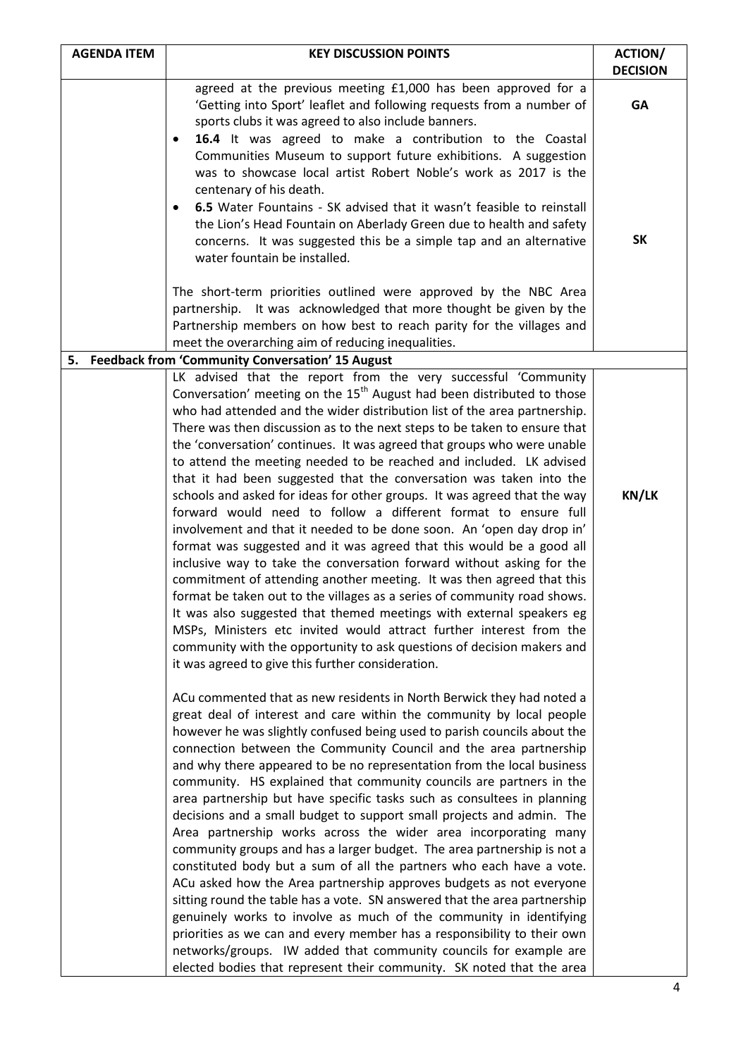| <b>AGENDA ITEM</b> | <b>KEY DISCUSSION POINTS</b>                                                                                                                                                                                                                                                                                                                                                                                                                                                                                                                                                                                                                                                                                                                                                                                                                                                                                                                                                                                                                                                                                                                                                                                                                                                                                                                       | <b>ACTION/</b><br><b>DECISION</b> |
|--------------------|----------------------------------------------------------------------------------------------------------------------------------------------------------------------------------------------------------------------------------------------------------------------------------------------------------------------------------------------------------------------------------------------------------------------------------------------------------------------------------------------------------------------------------------------------------------------------------------------------------------------------------------------------------------------------------------------------------------------------------------------------------------------------------------------------------------------------------------------------------------------------------------------------------------------------------------------------------------------------------------------------------------------------------------------------------------------------------------------------------------------------------------------------------------------------------------------------------------------------------------------------------------------------------------------------------------------------------------------------|-----------------------------------|
|                    | agreed at the previous meeting £1,000 has been approved for a<br>'Getting into Sport' leaflet and following requests from a number of<br>sports clubs it was agreed to also include banners.                                                                                                                                                                                                                                                                                                                                                                                                                                                                                                                                                                                                                                                                                                                                                                                                                                                                                                                                                                                                                                                                                                                                                       | GA                                |
|                    | 16.4 It was agreed to make a contribution to the Coastal<br>Communities Museum to support future exhibitions. A suggestion<br>was to showcase local artist Robert Noble's work as 2017 is the<br>centenary of his death.<br>6.5 Water Fountains - SK advised that it wasn't feasible to reinstall<br>the Lion's Head Fountain on Aberlady Green due to health and safety<br>concerns. It was suggested this be a simple tap and an alternative<br>water fountain be installed.<br>The short-term priorities outlined were approved by the NBC Area<br>partnership. It was acknowledged that more thought be given by the<br>Partnership members on how best to reach parity for the villages and                                                                                                                                                                                                                                                                                                                                                                                                                                                                                                                                                                                                                                                   | <b>SK</b>                         |
|                    | meet the overarching aim of reducing inequalities.<br>5. Feedback from 'Community Conversation' 15 August                                                                                                                                                                                                                                                                                                                                                                                                                                                                                                                                                                                                                                                                                                                                                                                                                                                                                                                                                                                                                                                                                                                                                                                                                                          |                                   |
|                    | LK advised that the report from the very successful 'Community<br>Conversation' meeting on the 15 <sup>th</sup> August had been distributed to those<br>who had attended and the wider distribution list of the area partnership.<br>There was then discussion as to the next steps to be taken to ensure that<br>the 'conversation' continues. It was agreed that groups who were unable<br>to attend the meeting needed to be reached and included. LK advised<br>that it had been suggested that the conversation was taken into the<br>schools and asked for ideas for other groups. It was agreed that the way<br>forward would need to follow a different format to ensure full<br>involvement and that it needed to be done soon. An 'open day drop in'<br>format was suggested and it was agreed that this would be a good all<br>inclusive way to take the conversation forward without asking for the<br>commitment of attending another meeting. It was then agreed that this<br>format be taken out to the villages as a series of community road shows.<br>It was also suggested that themed meetings with external speakers eg<br>MSPs, Ministers etc invited would attract further interest from the<br>community with the opportunity to ask questions of decision makers and<br>it was agreed to give this further consideration. | <b>KN/LK</b>                      |
|                    | ACu commented that as new residents in North Berwick they had noted a<br>great deal of interest and care within the community by local people<br>however he was slightly confused being used to parish councils about the<br>connection between the Community Council and the area partnership<br>and why there appeared to be no representation from the local business<br>community. HS explained that community councils are partners in the<br>area partnership but have specific tasks such as consultees in planning<br>decisions and a small budget to support small projects and admin. The<br>Area partnership works across the wider area incorporating many<br>community groups and has a larger budget. The area partnership is not a<br>constituted body but a sum of all the partners who each have a vote.<br>ACu asked how the Area partnership approves budgets as not everyone<br>sitting round the table has a vote. SN answered that the area partnership<br>genuinely works to involve as much of the community in identifying<br>priorities as we can and every member has a responsibility to their own<br>networks/groups. IW added that community councils for example are<br>elected bodies that represent their community. SK noted that the area                                                                       |                                   |